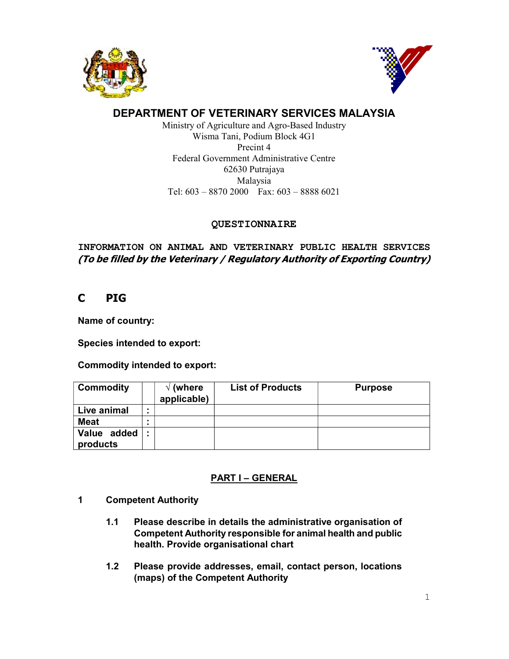



# DEPARTMENT OF VETERINARY SERVICES MALAYSIA

Ministry of Agriculture and Agro-Based Industry Wisma Tani, Podium Block 4G1 Precint 4 Federal Government Administrative Centre 62630 Putrajaya Malaysia Tel: 603 – 8870 2000 Fax: 603 – 8888 6021

## QUESTIONNAIRE

INFORMATION ON ANIMAL AND VETERINARY PUBLIC HEALTH SERVICES (To be filled by the Veterinary / Regulatory Authority of Exporting Country)

# C PIG

Name of country:

Species intended to export:

Commodity intended to export:

| <b>Commodity</b>        | (where<br>applicable) | <b>List of Products</b> | <b>Purpose</b> |
|-------------------------|-----------------------|-------------------------|----------------|
| Live animal             |                       |                         |                |
| <b>Meat</b>             |                       |                         |                |
| Value added<br>products |                       |                         |                |

# PART I – GENERAL

- 1 Competent Authority
	- 1.1 Please describe in details the administrative organisation of Competent Authority responsible for animal health and public health. Provide organisational chart
	- 1.2 Please provide addresses, email, contact person, locations (maps) of the Competent Authority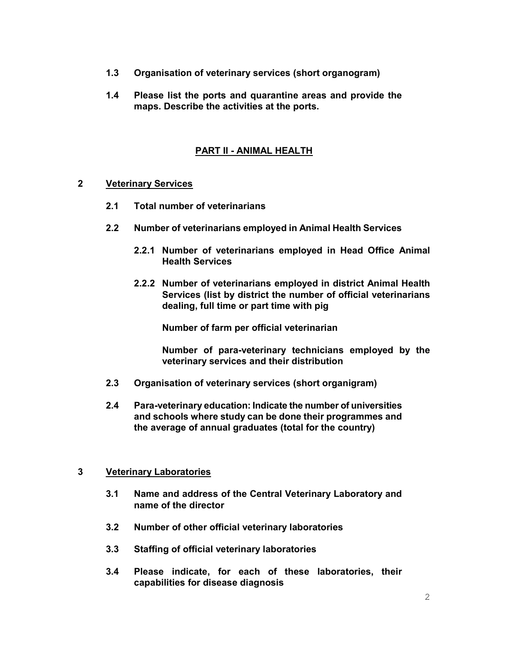- 1.3 Organisation of veterinary services (short organogram)
- 1.4 Please list the ports and quarantine areas and provide the maps. Describe the activities at the ports.

#### PART II - ANIMAL HEALTH

#### 2 Veterinary Services

- 2.1 Total number of veterinarians
- 2.2 Number of veterinarians employed in Animal Health Services
	- 2.2.1 Number of veterinarians employed in Head Office Animal Health Services
	- 2.2.2 Number of veterinarians employed in district Animal Health Services (list by district the number of official veterinarians dealing, full time or part time with pig

Number of farm per official veterinarian

Number of para-veterinary technicians employed by the veterinary services and their distribution

- 2.3 Organisation of veterinary services (short organigram)
- 2.4 Para-veterinary education: Indicate the number of universities and schools where study can be done their programmes and the average of annual graduates (total for the country)

#### 3 Veterinary Laboratories

- 3.1 Name and address of the Central Veterinary Laboratory and name of the director
- 3.2 Number of other official veterinary laboratories
- 3.3 Staffing of official veterinary laboratories
- 3.4 Please indicate, for each of these laboratories, their capabilities for disease diagnosis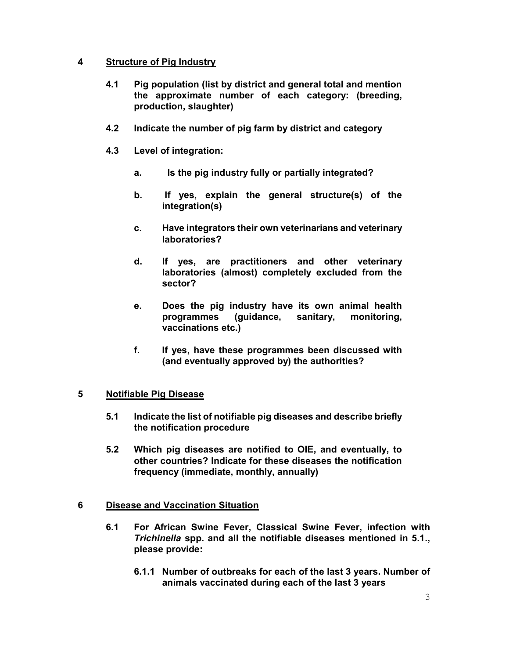## 4 Structure of Pig Industry

- 4.1 Pig population (list by district and general total and mention the approximate number of each category: (breeding, production, slaughter)
- 4.2 Indicate the number of pig farm by district and category
- 4.3 Level of integration:
	- a. Is the pig industry fully or partially integrated?
	- b. If yes, explain the general structure(s) of the integration(s)
	- c. Have integrators their own veterinarians and veterinary laboratories?
	- d. If yes, are practitioners and other veterinary laboratories (almost) completely excluded from the sector?
	- e. Does the pig industry have its own animal health programmes (guidance, sanitary, monitoring, vaccinations etc.)
	- f. If yes, have these programmes been discussed with (and eventually approved by) the authorities?

## 5 Notifiable Pig Disease

- 5.1 Indicate the list of notifiable pig diseases and describe briefly the notification procedure
- 5.2 Which pig diseases are notified to OIE, and eventually, to other countries? Indicate for these diseases the notification frequency (immediate, monthly, annually)

## 6 Disease and Vaccination Situation

- 6.1 For African Swine Fever, Classical Swine Fever, infection with Trichinella spp. and all the notifiable diseases mentioned in 5.1., please provide:
	- 6.1.1 Number of outbreaks for each of the last 3 years. Number of animals vaccinated during each of the last 3 years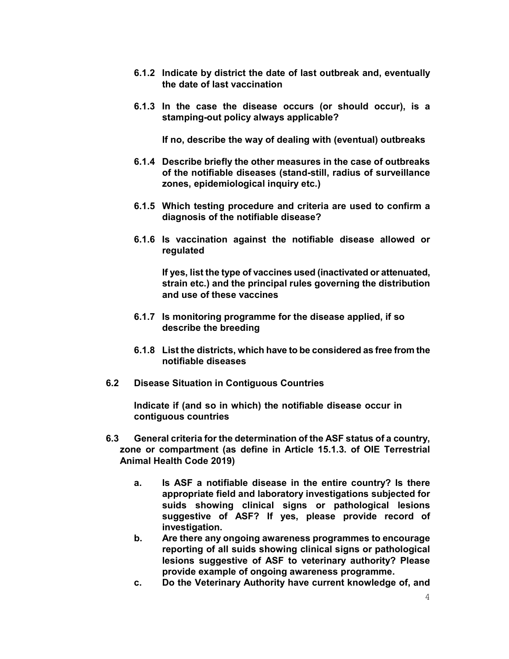- 6.1.2 Indicate by district the date of last outbreak and, eventually the date of last vaccination
- 6.1.3 In the case the disease occurs (or should occur), is a stamping-out policy always applicable?

If no, describe the way of dealing with (eventual) outbreaks

- 6.1.4 Describe briefly the other measures in the case of outbreaks of the notifiable diseases (stand-still, radius of surveillance zones, epidemiological inquiry etc.)
- 6.1.5 Which testing procedure and criteria are used to confirm a diagnosis of the notifiable disease?
- 6.1.6 Is vaccination against the notifiable disease allowed or regulated

If yes, list the type of vaccines used (inactivated or attenuated, strain etc.) and the principal rules governing the distribution and use of these vaccines

- 6.1.7 Is monitoring programme for the disease applied, if so describe the breeding
- 6.1.8 List the districts, which have to be considered as free from the notifiable diseases
- 6.2 Disease Situation in Contiguous Countries

Indicate if (and so in which) the notifiable disease occur in contiguous countries

- 6.3 General criteria for the determination of the ASF status of a country, zone or compartment (as define in Article 15.1.3. of OIE Terrestrial Animal Health Code 2019)
	- a. Is ASF a notifiable disease in the entire country? Is there appropriate field and laboratory investigations subjected for suids showing clinical signs or pathological lesions suggestive of ASF? If yes, please provide record of investigation.
	- b. Are there any ongoing awareness programmes to encourage reporting of all suids showing clinical signs or pathological lesions suggestive of ASF to veterinary authority? Please provide example of ongoing awareness programme.
	- c. Do the Veterinary Authority have current knowledge of, and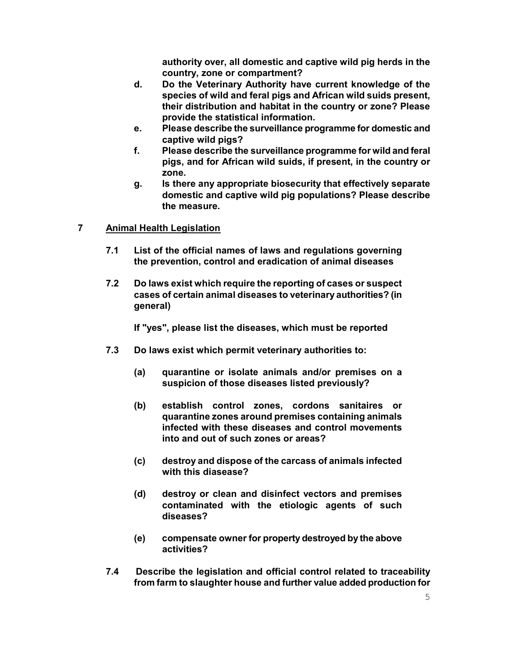authority over, all domestic and captive wild pig herds in the country, zone or compartment?

- d. Do the Veterinary Authority have current knowledge of the species of wild and feral pigs and African wild suids present, their distribution and habitat in the country or zone? Please provide the statistical information.
- e. Please describe the surveillance programme for domestic and captive wild pigs?
- f. Please describe the surveillance programme for wild and feral pigs, and for African wild suids, if present, in the country or zone.
- g. Is there any appropriate biosecurity that effectively separate domestic and captive wild pig populations? Please describe the measure.

## 7 Animal Health Legislation

- 7.1 List of the official names of laws and regulations governing the prevention, control and eradication of animal diseases
- 7.2 Do laws exist which require the reporting of cases or suspect cases of certain animal diseases to veterinary authorities? (in general)

If "yes", please list the diseases, which must be reported

- 7.3 Do laws exist which permit veterinary authorities to:
	- (a) quarantine or isolate animals and/or premises on a suspicion of those diseases listed previously?
	- (b) establish control zones, cordons sanitaires or quarantine zones around premises containing animals infected with these diseases and control movements into and out of such zones or areas?
	- (c) destroy and dispose of the carcass of animals infected with this diasease?
	- (d) destroy or clean and disinfect vectors and premises contaminated with the etiologic agents of such diseases?
	- (e) compensate owner for property destroyed by the above activities?
- 7.4 Describe the legislation and official control related to traceability from farm to slaughter house and further value added production for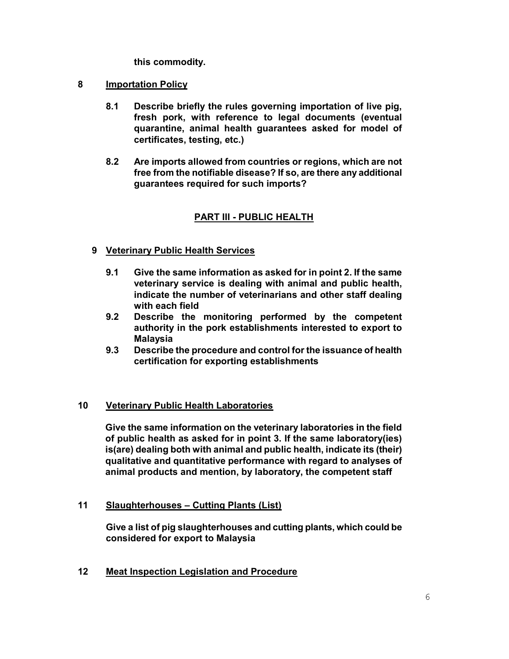this commodity.

## 8 **Importation Policy**

- 8.1 Describe briefly the rules governing importation of live pig, fresh pork, with reference to legal documents (eventual quarantine, animal health guarantees asked for model of certificates, testing, etc.)
- 8.2 Are imports allowed from countries or regions, which are not free from the notifiable disease? If so, are there any additional guarantees required for such imports?

## PART III - PUBLIC HEALTH

## 9 Veterinary Public Health Services

- 9.1 Give the same information as asked for in point 2. If the same veterinary service is dealing with animal and public health, indicate the number of veterinarians and other staff dealing with each field
- 9.2 Describe the monitoring performed by the competent authority in the pork establishments interested to export to Malaysia
- 9.3 Describe the procedure and control for the issuance of health certification for exporting establishments

## 10 Veterinary Public Health Laboratories

Give the same information on the veterinary laboratories in the field of public health as asked for in point 3. If the same laboratory(ies) is(are) dealing both with animal and public health, indicate its (their) qualitative and quantitative performance with regard to analyses of animal products and mention, by laboratory, the competent staff

## 11 Slaughterhouses - Cutting Plants (List)

Give a list of pig slaughterhouses and cutting plants, which could be considered for export to Malaysia

12 Meat Inspection Legislation and Procedure